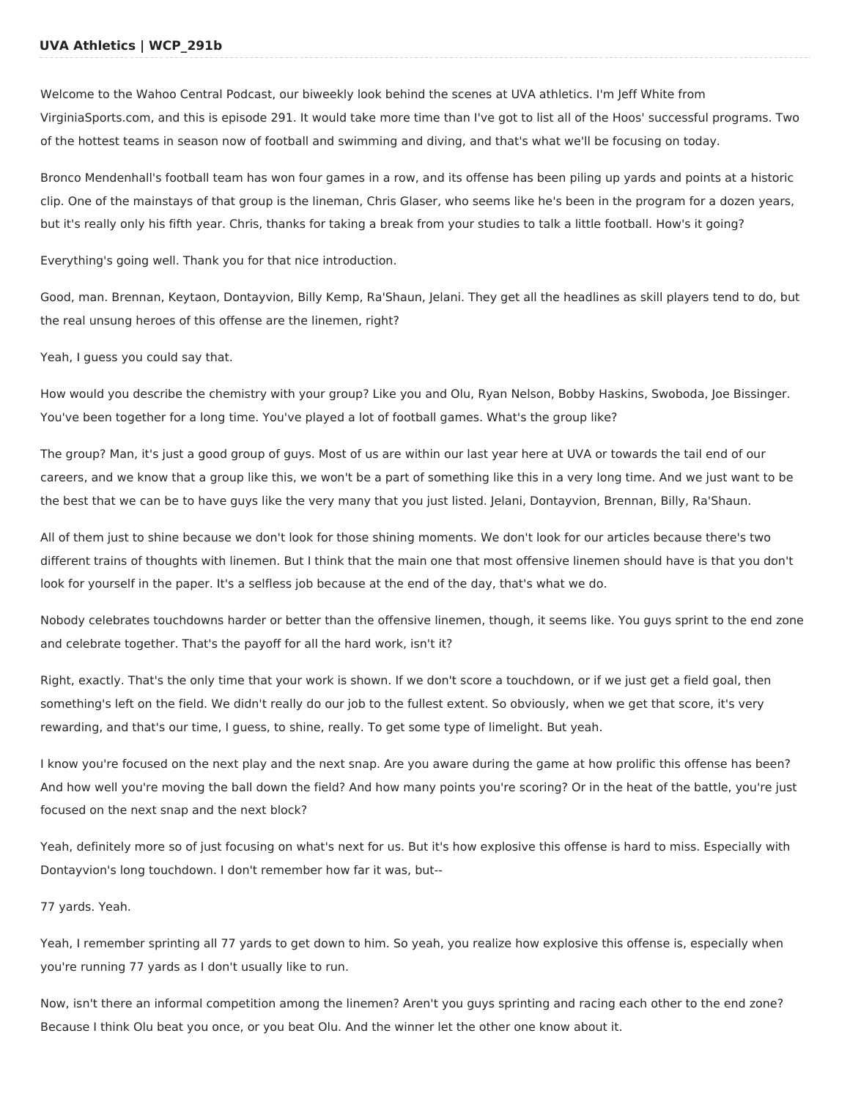## **UVA Athletics | WCP\_291b**

Welcome to the Wahoo Central Podcast, our biweekly look behind the scenes at UVA athletics. I'm Jeff White from VirginiaSports.com, and this is episode 291. It would take more time than I've got to list all of the Hoos' successful programs. Two of the hottest teams in season now of football and swimming and diving, and that's what we'll be focusing on today.

Bronco Mendenhall's football team has won four games in a row, and its offense has been piling up yards and points at a historic clip. One of the mainstays of that group is the lineman, Chris Glaser, who seems like he's been in the program for a dozen years, but it's really only his fifth year. Chris, thanks for taking a break from your studies to talk a little football. How's it going?

Everything's going well. Thank you for that nice introduction.

Good, man. Brennan, Keytaon, Dontayvion, Billy Kemp, Ra'Shaun, Jelani. They get all the headlines as skill players tend to do, but the real unsung heroes of this offense are the linemen, right?

Yeah, I guess you could say that.

How would you describe the chemistry with your group? Like you and Olu, Ryan Nelson, Bobby Haskins, Swoboda, Joe Bissinger. You've been together for a long time. You've played a lot of football games. What's the group like?

The group? Man, it's just a good group of guys. Most of us are within our last year here at UVA or towards the tail end of our careers, and we know that a group like this, we won't be a part of something like this in a very long time. And we just want to be the best that we can be to have guys like the very many that you just listed. Jelani, Dontayvion, Brennan, Billy, Ra'Shaun.

All of them just to shine because we don't look for those shining moments. We don't look for our articles because there's two different trains of thoughts with linemen. But I think that the main one that most offensive linemen should have is that you don't look for yourself in the paper. It's a selfless job because at the end of the day, that's what we do.

Nobody celebrates touchdowns harder or better than the offensive linemen, though, it seems like. You guys sprint to the end zone and celebrate together. That's the payoff for all the hard work, isn't it?

Right, exactly. That's the only time that your work is shown. If we don't score a touchdown, or if we just get a field goal, then something's left on the field. We didn't really do our job to the fullest extent. So obviously, when we get that score, it's very rewarding, and that's our time, I guess, to shine, really. To get some type of limelight. But yeah.

I know you're focused on the next play and the next snap. Are you aware during the game at how prolific this offense has been? And how well you're moving the ball down the field? And how many points you're scoring? Or in the heat of the battle, you're just focused on the next snap and the next block?

Yeah, definitely more so of just focusing on what's next for us. But it's how explosive this offense is hard to miss. Especially with Dontayvion's long touchdown. I don't remember how far it was, but--

77 yards. Yeah.

Yeah, I remember sprinting all 77 yards to get down to him. So yeah, you realize how explosive this offense is, especially when you're running 77 yards as I don't usually like to run.

Now, isn't there an informal competition among the linemen? Aren't you guys sprinting and racing each other to the end zone? Because I think Olu beat you once, or you beat Olu. And the winner let the other one know about it.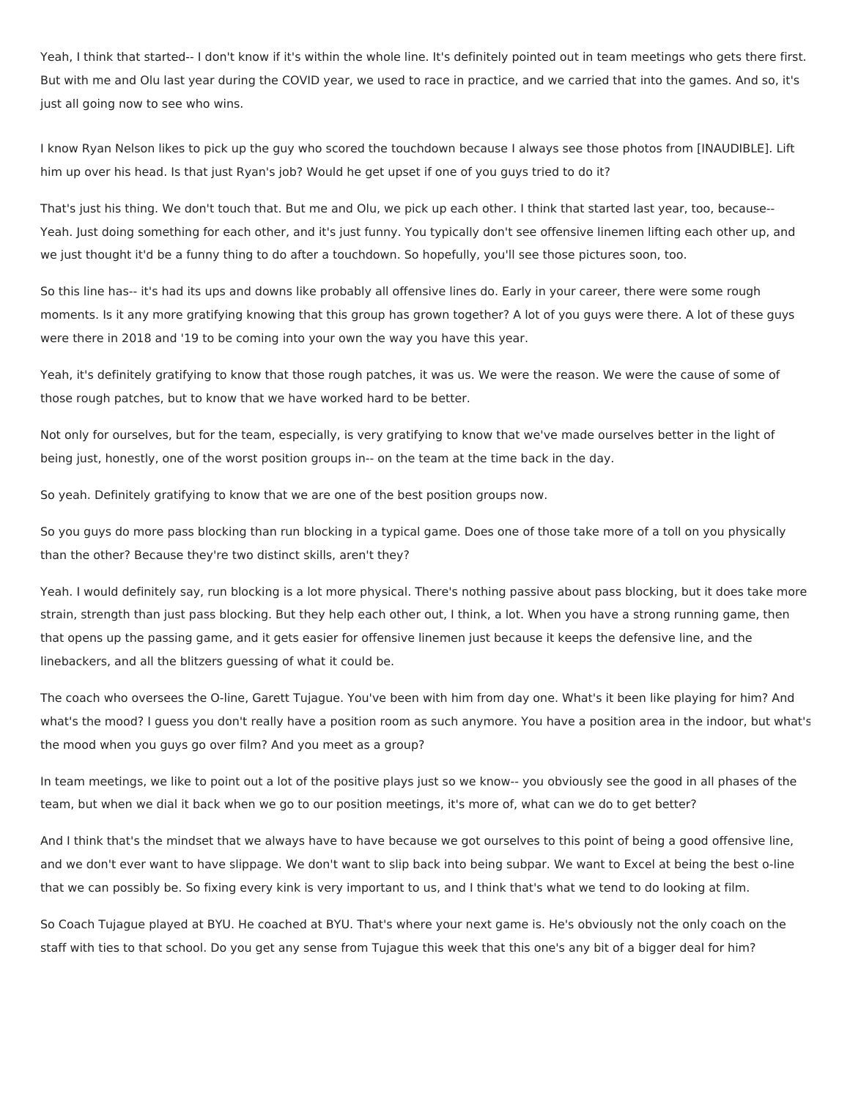Yeah, I think that started-- I don't know if it's within the whole line. It's definitely pointed out in team meetings who gets there first. But with me and Olu last year during the COVID year, we used to race in practice, and we carried that into the games. And so, it's just all going now to see who wins.

I know Ryan Nelson likes to pick up the guy who scored the touchdown because I always see those photos from [INAUDIBLE]. Lift him up over his head. Is that just Ryan's job? Would he get upset if one of you guys tried to do it?

That's just his thing. We don't touch that. But me and Olu, we pick up each other. I think that started last year, too, because-- Yeah. Just doing something for each other, and it's just funny. You typically don't see offensive linemen lifting each other up, and we just thought it'd be a funny thing to do after a touchdown. So hopefully, you'll see those pictures soon, too.

So this line has-- it's had its ups and downs like probably all offensive lines do. Early in your career, there were some rough moments. Is it any more gratifying knowing that this group has grown together? A lot of you guys were there. A lot of these guys were there in 2018 and '19 to be coming into your own the way you have this year.

Yeah, it's definitely gratifying to know that those rough patches, it was us. We were the reason. We were the cause of some of those rough patches, but to know that we have worked hard to be better.

Not only for ourselves, but for the team, especially, is very gratifying to know that we've made ourselves better in the light of being just, honestly, one of the worst position groups in-- on the team at the time back in the day.

So yeah. Definitely gratifying to know that we are one of the best position groups now.

So you guys do more pass blocking than run blocking in a typical game. Does one of those take more of a toll on you physically than the other? Because they're two distinct skills, aren't they?

Yeah. I would definitely say, run blocking is a lot more physical. There's nothing passive about pass blocking, but it does take more strain, strength than just pass blocking. But they help each other out, I think, a lot. When you have a strong running game, then that opens up the passing game, and it gets easier for offensive linemen just because it keeps the defensive line, and the linebackers, and all the blitzers guessing of what it could be.

The coach who oversees the O-line, Garett Tujague. You've been with him from day one. What's it been like playing for him? And what's the mood? I guess you don't really have a position room as such anymore. You have a position area in the indoor, but what's the mood when you guys go over film? And you meet as a group?

In team meetings, we like to point out a lot of the positive plays just so we know-- you obviously see the good in all phases of the team, but when we dial it back when we go to our position meetings, it's more of, what can we do to get better?

And I think that's the mindset that we always have to have because we got ourselves to this point of being a good offensive line, and we don't ever want to have slippage. We don't want to slip back into being subpar. We want to Excel at being the best o-line that we can possibly be. So fixing every kink is very important to us, and I think that's what we tend to do looking at film.

So Coach Tujague played at BYU. He coached at BYU. That's where your next game is. He's obviously not the only coach on the staff with ties to that school. Do you get any sense from Tujague this week that this one's any bit of a bigger deal for him?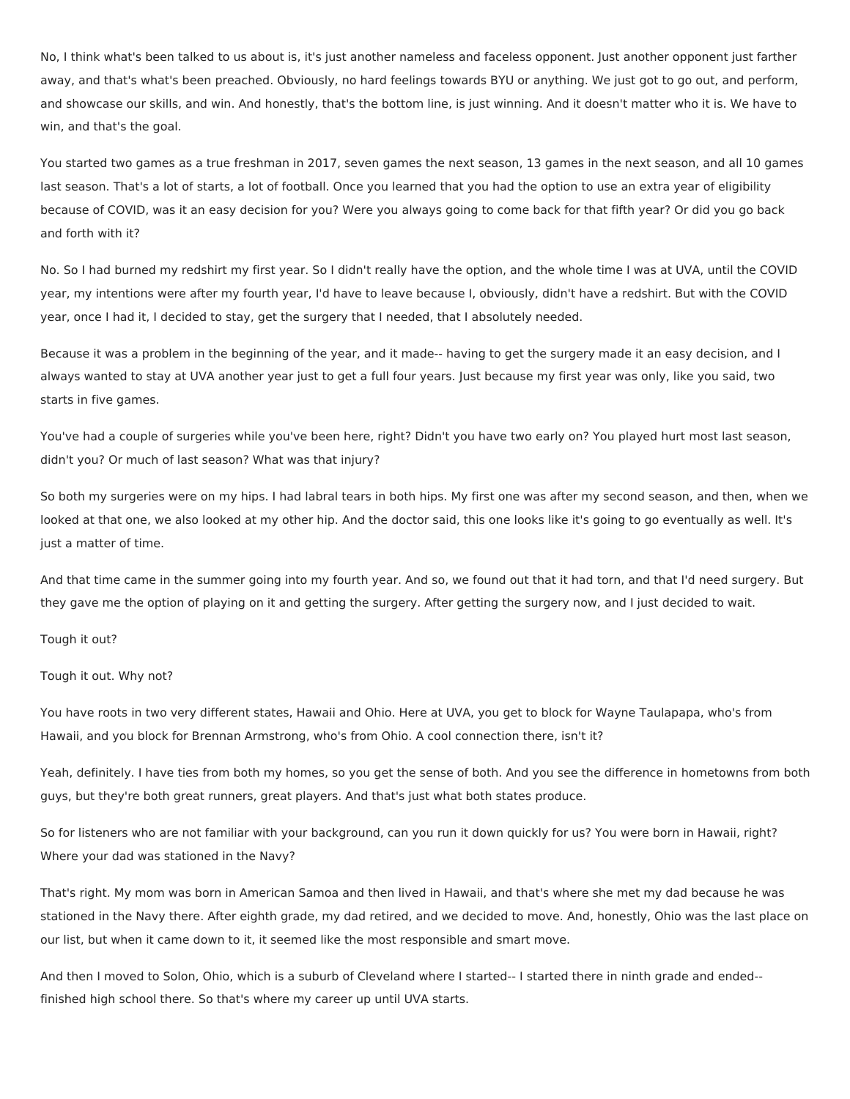No, I think what's been talked to us about is, it's just another nameless and faceless opponent. Just another opponent just farther away, and that's what's been preached. Obviously, no hard feelings towards BYU or anything. We just got to go out, and perform, and showcase our skills, and win. And honestly, that's the bottom line, is just winning. And it doesn't matter who it is. We have to win, and that's the goal.

You started two games as a true freshman in 2017, seven games the next season, 13 games in the next season, and all 10 games last season. That's a lot of starts, a lot of football. Once you learned that you had the option to use an extra year of eligibility because of COVID, was it an easy decision for you? Were you always going to come back for that fifth year? Or did you go back and forth with it?

No. So I had burned my redshirt my first year. So I didn't really have the option, and the whole time I was at UVA, until the COVID year, my intentions were after my fourth year, I'd have to leave because I, obviously, didn't have a redshirt. But with the COVID year, once I had it, I decided to stay, get the surgery that I needed, that I absolutely needed.

Because it was a problem in the beginning of the year, and it made-- having to get the surgery made it an easy decision, and I always wanted to stay at UVA another year just to get a full four years. Just because my first year was only, like you said, two starts in five games.

You've had a couple of surgeries while you've been here, right? Didn't you have two early on? You played hurt most last season, didn't you? Or much of last season? What was that injury?

So both my surgeries were on my hips. I had labral tears in both hips. My first one was after my second season, and then, when we looked at that one, we also looked at my other hip. And the doctor said, this one looks like it's going to go eventually as well. It's just a matter of time.

And that time came in the summer going into my fourth year. And so, we found out that it had torn, and that I'd need surgery. But they gave me the option of playing on it and getting the surgery. After getting the surgery now, and I just decided to wait.

Tough it out?

Tough it out. Why not?

You have roots in two very different states, Hawaii and Ohio. Here at UVA, you get to block for Wayne Taulapapa, who's from Hawaii, and you block for Brennan Armstrong, who's from Ohio. A cool connection there, isn't it?

Yeah, definitely. I have ties from both my homes, so you get the sense of both. And you see the difference in hometowns from both guys, but they're both great runners, great players. And that's just what both states produce.

So for listeners who are not familiar with your background, can you run it down quickly for us? You were born in Hawaii, right? Where your dad was stationed in the Navy?

That's right. My mom was born in American Samoa and then lived in Hawaii, and that's where she met my dad because he was stationed in the Navy there. After eighth grade, my dad retired, and we decided to move. And, honestly, Ohio was the last place on our list, but when it came down to it, it seemed like the most responsible and smart move.

And then I moved to Solon, Ohio, which is a suburb of Cleveland where I started-- I started there in ninth grade and ended- finished high school there. So that's where my career up until UVA starts.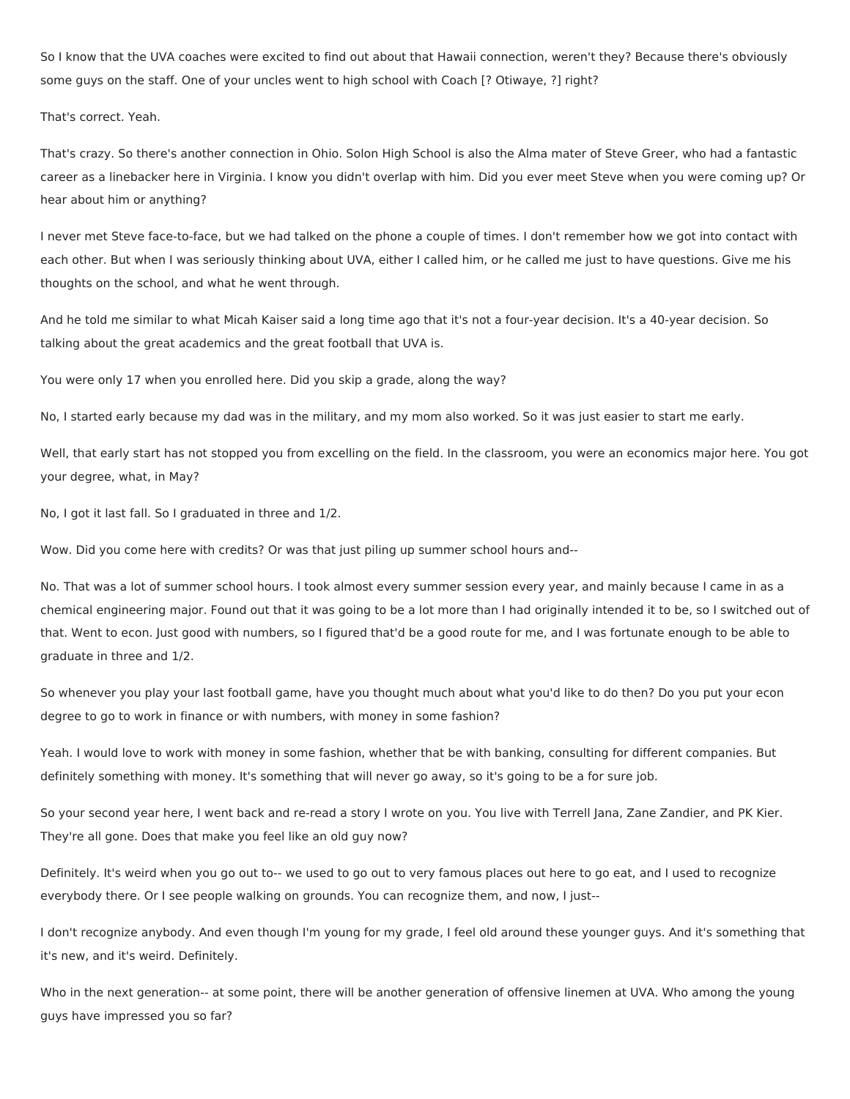So I know that the UVA coaches were excited to find out about that Hawaii connection, weren't they? Because there's obviously some guys on the staff. One of your uncles went to high school with Coach [? Otiwaye, ?] right?

That's correct. Yeah.

That's crazy. So there's another connection in Ohio. Solon High School is also the Alma mater of Steve Greer, who had a fantastic career as a linebacker here in Virginia. I know you didn't overlap with him. Did you ever meet Steve when you were coming up? Or hear about him or anything?

I never met Steve face-to-face, but we had talked on the phone a couple of times. I don't remember how we got into contact with each other. But when I was seriously thinking about UVA, either I called him, or he called me just to have questions. Give me his thoughts on the school, and what he went through.

And he told me similar to what Micah Kaiser said a long time ago that it's not a four-year decision. It's a 40-year decision. So talking about the great academics and the great football that UVA is.

You were only 17 when you enrolled here. Did you skip a grade, along the way?

No, I started early because my dad was in the military, and my mom also worked. So it was just easier to start me early.

Well, that early start has not stopped you from excelling on the field. In the classroom, you were an economics major here. You got your degree, what, in May?

No, I got it last fall. So I graduated in three and 1/2.

Wow. Did you come here with credits? Or was that just piling up summer school hours and--

No. That was a lot of summer school hours. I took almost every summer session every year, and mainly because I came in as a chemical engineering major. Found out that it was going to be a lot more than I had originally intended it to be, so I switched out of that. Went to econ. Just good with numbers, so I figured that'd be a good route for me, and I was fortunate enough to be able to graduate in three and 1/2.

So whenever you play your last football game, have you thought much about what you'd like to do then? Do you put your econ degree to go to work in finance or with numbers, with money in some fashion?

Yeah. I would love to work with money in some fashion, whether that be with banking, consulting for different companies. But definitely something with money. It's something that will never go away, so it's going to be a for sure job.

So your second year here, I went back and re-read a story I wrote on you. You live with Terrell Jana, Zane Zandier, and PK Kier. They're all gone. Does that make you feel like an old guy now?

Definitely. It's weird when you go out to-- we used to go out to very famous places out here to go eat, and I used to recognize everybody there. Or I see people walking on grounds. You can recognize them, and now, I just--

I don't recognize anybody. And even though I'm young for my grade, I feel old around these younger guys. And it's something that it's new, and it's weird. Definitely.

Who in the next generation-- at some point, there will be another generation of offensive linemen at UVA. Who among the young guys have impressed you so far?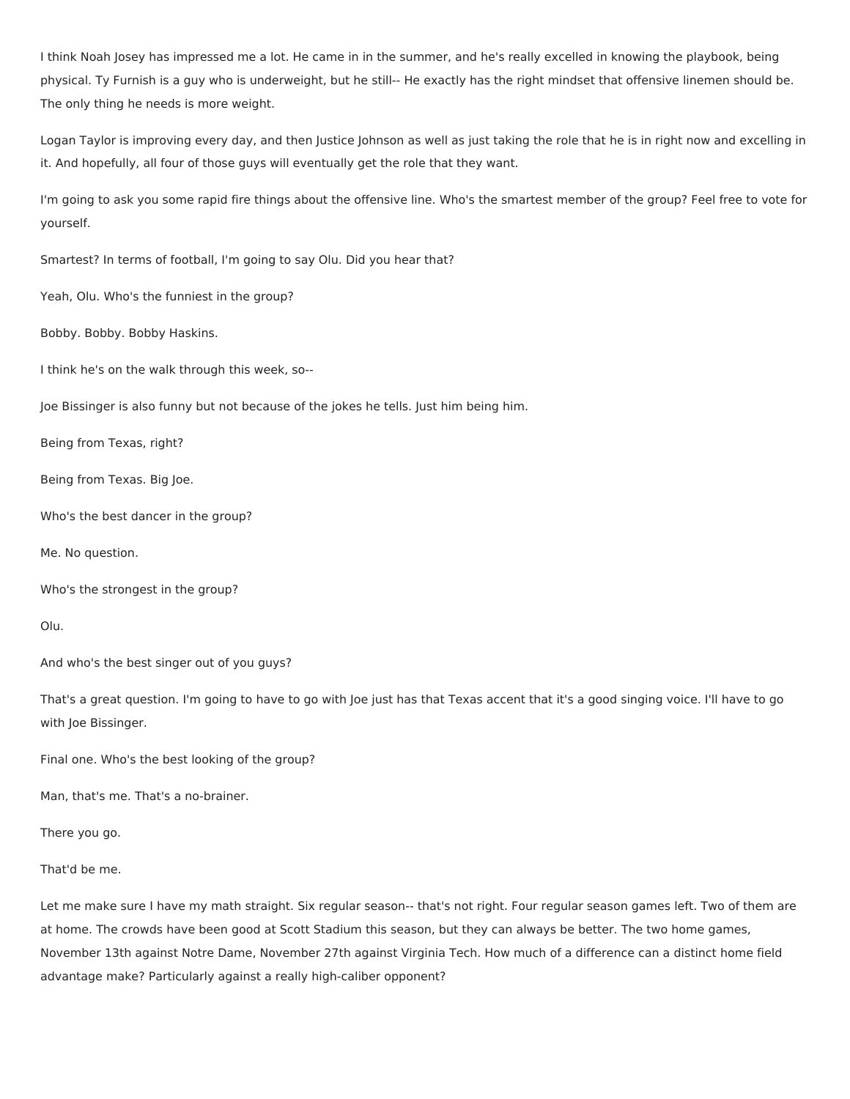I think Noah Josey has impressed me a lot. He came in in the summer, and he's really excelled in knowing the playbook, being physical. Ty Furnish is a guy who is underweight, but he still-- He exactly has the right mindset that offensive linemen should be. The only thing he needs is more weight.

Logan Taylor is improving every day, and then Justice Johnson as well as just taking the role that he is in right now and excelling in it. And hopefully, all four of those guys will eventually get the role that they want.

I'm going to ask you some rapid fire things about the offensive line. Who's the smartest member of the group? Feel free to vote for yourself.

Smartest? In terms of football, I'm going to say Olu. Did you hear that?

Yeah, Olu. Who's the funniest in the group?

Bobby. Bobby. Bobby Haskins.

I think he's on the walk through this week, so--

Joe Bissinger is also funny but not because of the jokes he tells. Just him being him.

Being from Texas, right?

Being from Texas. Big Joe.

Who's the best dancer in the group?

Me. No question.

Who's the strongest in the group?

Olu.

And who's the best singer out of you guys?

That's a great question. I'm going to have to go with Joe just has that Texas accent that it's a good singing voice. I'll have to go with Joe Bissinger.

Final one. Who's the best looking of the group?

Man, that's me. That's a no-brainer.

There you go.

That'd be me.

Let me make sure I have my math straight. Six regular season-- that's not right. Four regular season games left. Two of them are at home. The crowds have been good at Scott Stadium this season, but they can always be better. The two home games, November 13th against Notre Dame, November 27th against Virginia Tech. How much of a difference can a distinct home field advantage make? Particularly against a really high-caliber opponent?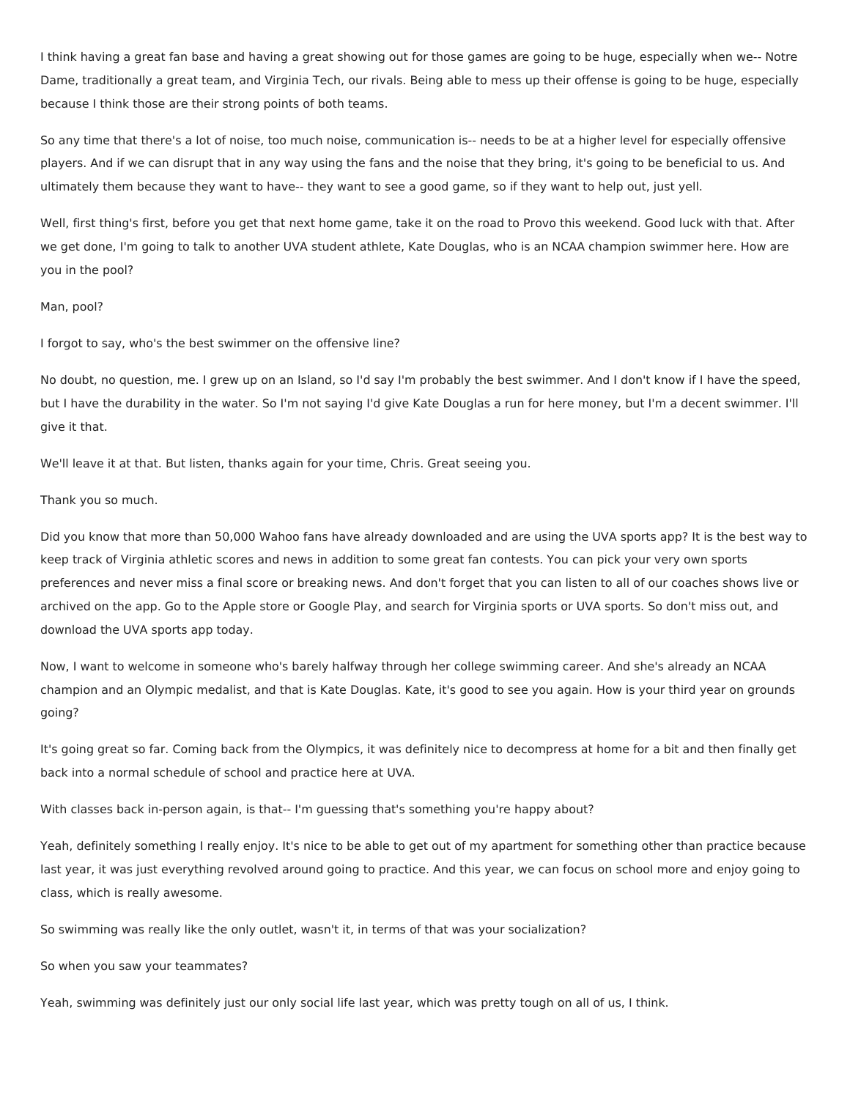I think having a great fan base and having a great showing out for those games are going to be huge, especially when we-- Notre Dame, traditionally a great team, and Virginia Tech, our rivals. Being able to mess up their offense is going to be huge, especially because I think those are their strong points of both teams.

So any time that there's a lot of noise, too much noise, communication is-- needs to be at a higher level for especially offensive players. And if we can disrupt that in any way using the fans and the noise that they bring, it's going to be beneficial to us. And ultimately them because they want to have-- they want to see a good game, so if they want to help out, just yell.

Well, first thing's first, before you get that next home game, take it on the road to Provo this weekend. Good luck with that. After we get done, I'm going to talk to another UVA student athlete, Kate Douglas, who is an NCAA champion swimmer here. How are you in the pool?

## Man, pool?

I forgot to say, who's the best swimmer on the offensive line?

No doubt, no question, me. I grew up on an Island, so I'd say I'm probably the best swimmer. And I don't know if I have the speed, but I have the durability in the water. So I'm not saying I'd give Kate Douglas a run for here money, but I'm a decent swimmer. I'll give it that.

We'll leave it at that. But listen, thanks again for your time, Chris. Great seeing you.

## Thank you so much.

Did you know that more than 50,000 Wahoo fans have already downloaded and are using the UVA sports app? It is the best way to keep track of Virginia athletic scores and news in addition to some great fan contests. You can pick your very own sports preferences and never miss a final score or breaking news. And don't forget that you can listen to all of our coaches shows live or archived on the app. Go to the Apple store or Google Play, and search for Virginia sports or UVA sports. So don't miss out, and download the UVA sports app today.

Now, I want to welcome in someone who's barely halfway through her college swimming career. And she's already an NCAA champion and an Olympic medalist, and that is Kate Douglas. Kate, it's good to see you again. How is your third year on grounds going?

It's going great so far. Coming back from the Olympics, it was definitely nice to decompress at home for a bit and then finally get back into a normal schedule of school and practice here at UVA.

With classes back in-person again, is that-- I'm guessing that's something you're happy about?

Yeah, definitely something I really enjoy. It's nice to be able to get out of my apartment for something other than practice because last year, it was just everything revolved around going to practice. And this year, we can focus on school more and enjoy going to class, which is really awesome.

So swimming was really like the only outlet, wasn't it, in terms of that was your socialization?

So when you saw your teammates?

Yeah, swimming was definitely just our only social life last year, which was pretty tough on all of us, I think.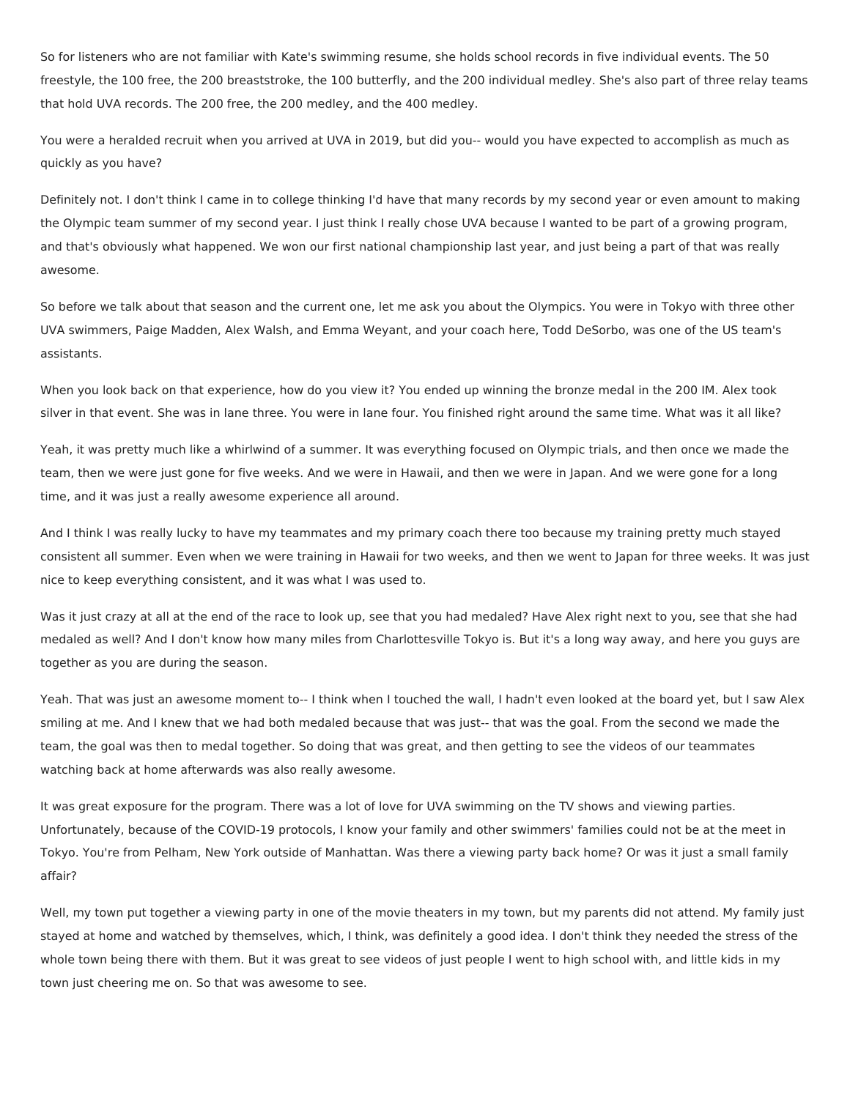So for listeners who are not familiar with Kate's swimming resume, she holds school records in five individual events. The 50 freestyle, the 100 free, the 200 breaststroke, the 100 butterfly, and the 200 individual medley. She's also part of three relay teams that hold UVA records. The 200 free, the 200 medley, and the 400 medley.

You were a heralded recruit when you arrived at UVA in 2019, but did you-- would you have expected to accomplish as much as quickly as you have?

Definitely not. I don't think I came in to college thinking I'd have that many records by my second year or even amount to making the Olympic team summer of my second year. I just think I really chose UVA because I wanted to be part of a growing program, and that's obviously what happened. We won our first national championship last year, and just being a part of that was really awesome.

So before we talk about that season and the current one, let me ask you about the Olympics. You were in Tokyo with three other UVA swimmers, Paige Madden, Alex Walsh, and Emma Weyant, and your coach here, Todd DeSorbo, was one of the US team's assistants.

When you look back on that experience, how do you view it? You ended up winning the bronze medal in the 200 IM. Alex took silver in that event. She was in lane three. You were in lane four. You finished right around the same time. What was it all like?

Yeah, it was pretty much like a whirlwind of a summer. It was everything focused on Olympic trials, and then once we made the team, then we were just gone for five weeks. And we were in Hawaii, and then we were in Japan. And we were gone for a long time, and it was just a really awesome experience all around.

And I think I was really lucky to have my teammates and my primary coach there too because my training pretty much stayed consistent all summer. Even when we were training in Hawaii for two weeks, and then we went to Japan for three weeks. It was just nice to keep everything consistent, and it was what I was used to.

Was it just crazy at all at the end of the race to look up, see that you had medaled? Have Alex right next to you, see that she had medaled as well? And I don't know how many miles from Charlottesville Tokyo is. But it's a long way away, and here you guys are together as you are during the season.

Yeah. That was just an awesome moment to-- I think when I touched the wall, I hadn't even looked at the board yet, but I saw Alex smiling at me. And I knew that we had both medaled because that was just-- that was the goal. From the second we made the team, the goal was then to medal together. So doing that was great, and then getting to see the videos of our teammates watching back at home afterwards was also really awesome.

It was great exposure for the program. There was a lot of love for UVA swimming on the TV shows and viewing parties. Unfortunately, because of the COVID-19 protocols, I know your family and other swimmers' families could not be at the meet in Tokyo. You're from Pelham, New York outside of Manhattan. Was there a viewing party back home? Or was it just a small family affair?

Well, my town put together a viewing party in one of the movie theaters in my town, but my parents did not attend. My family just stayed at home and watched by themselves, which, I think, was definitely a good idea. I don't think they needed the stress of the whole town being there with them. But it was great to see videos of just people I went to high school with, and little kids in my town just cheering me on. So that was awesome to see.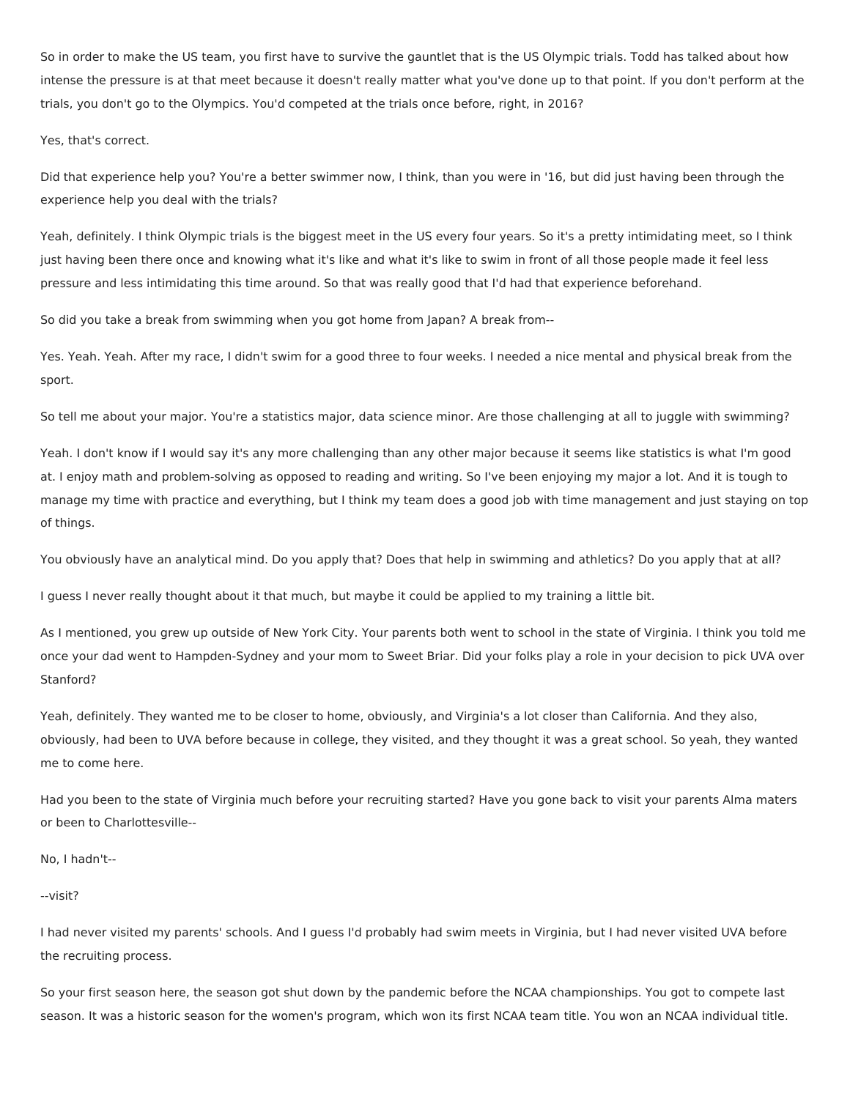So in order to make the US team, you first have to survive the gauntlet that is the US Olympic trials. Todd has talked about how intense the pressure is at that meet because it doesn't really matter what you've done up to that point. If you don't perform at the trials, you don't go to the Olympics. You'd competed at the trials once before, right, in 2016?

Yes, that's correct.

Did that experience help you? You're a better swimmer now, I think, than you were in '16, but did just having been through the experience help you deal with the trials?

Yeah, definitely. I think Olympic trials is the biggest meet in the US every four years. So it's a pretty intimidating meet, so I think just having been there once and knowing what it's like and what it's like to swim in front of all those people made it feel less pressure and less intimidating this time around. So that was really good that I'd had that experience beforehand.

So did you take a break from swimming when you got home from Japan? A break from--

Yes. Yeah. Yeah. After my race, I didn't swim for a good three to four weeks. I needed a nice mental and physical break from the sport.

So tell me about your major. You're a statistics major, data science minor. Are those challenging at all to juggle with swimming?

Yeah. I don't know if I would say it's any more challenging than any other major because it seems like statistics is what I'm good at. I enjoy math and problem-solving as opposed to reading and writing. So I've been enjoying my major a lot. And it is tough to manage my time with practice and everything, but I think my team does a good job with time management and just staying on top of things.

You obviously have an analytical mind. Do you apply that? Does that help in swimming and athletics? Do you apply that at all?

I guess I never really thought about it that much, but maybe it could be applied to my training a little bit.

As I mentioned, you grew up outside of New York City. Your parents both went to school in the state of Virginia. I think you told me once your dad went to Hampden-Sydney and your mom to Sweet Briar. Did your folks play a role in your decision to pick UVA over Stanford?

Yeah, definitely. They wanted me to be closer to home, obviously, and Virginia's a lot closer than California. And they also, obviously, had been to UVA before because in college, they visited, and they thought it was a great school. So yeah, they wanted me to come here.

Had you been to the state of Virginia much before your recruiting started? Have you gone back to visit your parents Alma maters or been to Charlottesville--

No, I hadn't--

--visit?

I had never visited my parents' schools. And I guess I'd probably had swim meets in Virginia, but I had never visited UVA before the recruiting process.

So your first season here, the season got shut down by the pandemic before the NCAA championships. You got to compete last season. It was a historic season for the women's program, which won its first NCAA team title. You won an NCAA individual title.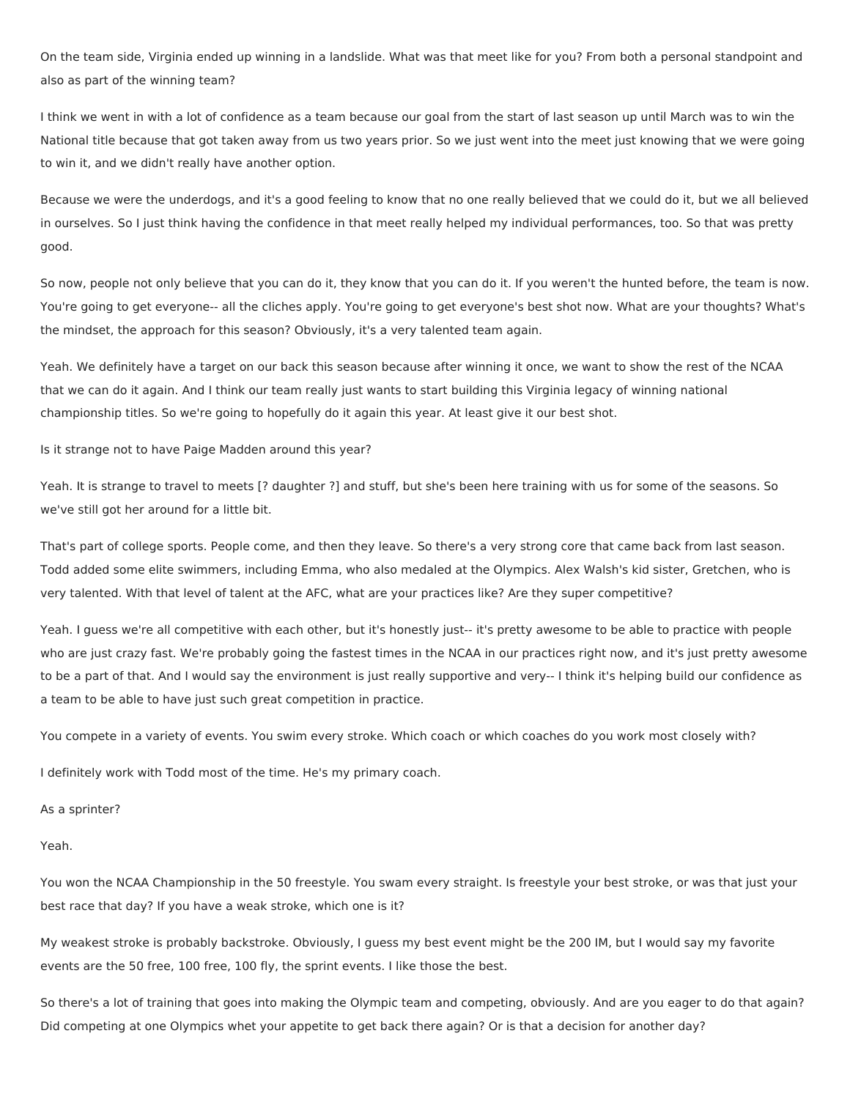On the team side, Virginia ended up winning in a landslide. What was that meet like for you? From both a personal standpoint and also as part of the winning team?

I think we went in with a lot of confidence as a team because our goal from the start of last season up until March was to win the National title because that got taken away from us two years prior. So we just went into the meet just knowing that we were going to win it, and we didn't really have another option.

Because we were the underdogs, and it's a good feeling to know that no one really believed that we could do it, but we all believed in ourselves. So I just think having the confidence in that meet really helped my individual performances, too. So that was pretty good.

So now, people not only believe that you can do it, they know that you can do it. If you weren't the hunted before, the team is now. You're going to get everyone-- all the cliches apply. You're going to get everyone's best shot now. What are your thoughts? What's the mindset, the approach for this season? Obviously, it's a very talented team again.

Yeah. We definitely have a target on our back this season because after winning it once, we want to show the rest of the NCAA that we can do it again. And I think our team really just wants to start building this Virginia legacy of winning national championship titles. So we're going to hopefully do it again this year. At least give it our best shot.

Is it strange not to have Paige Madden around this year?

Yeah. It is strange to travel to meets [? daughter ?] and stuff, but she's been here training with us for some of the seasons. So we've still got her around for a little bit.

That's part of college sports. People come, and then they leave. So there's a very strong core that came back from last season. Todd added some elite swimmers, including Emma, who also medaled at the Olympics. Alex Walsh's kid sister, Gretchen, who is very talented. With that level of talent at the AFC, what are your practices like? Are they super competitive?

Yeah. I guess we're all competitive with each other, but it's honestly just-- it's pretty awesome to be able to practice with people who are just crazy fast. We're probably going the fastest times in the NCAA in our practices right now, and it's just pretty awesome to be a part of that. And I would say the environment is just really supportive and very-- I think it's helping build our confidence as a team to be able to have just such great competition in practice.

You compete in a variety of events. You swim every stroke. Which coach or which coaches do you work most closely with?

I definitely work with Todd most of the time. He's my primary coach.

As a sprinter?

Yeah.

You won the NCAA Championship in the 50 freestyle. You swam every straight. Is freestyle your best stroke, or was that just your best race that day? If you have a weak stroke, which one is it?

My weakest stroke is probably backstroke. Obviously, I guess my best event might be the 200 IM, but I would say my favorite events are the 50 free, 100 free, 100 fly, the sprint events. I like those the best.

So there's a lot of training that goes into making the Olympic team and competing, obviously. And are you eager to do that again? Did competing at one Olympics whet your appetite to get back there again? Or is that a decision for another day?